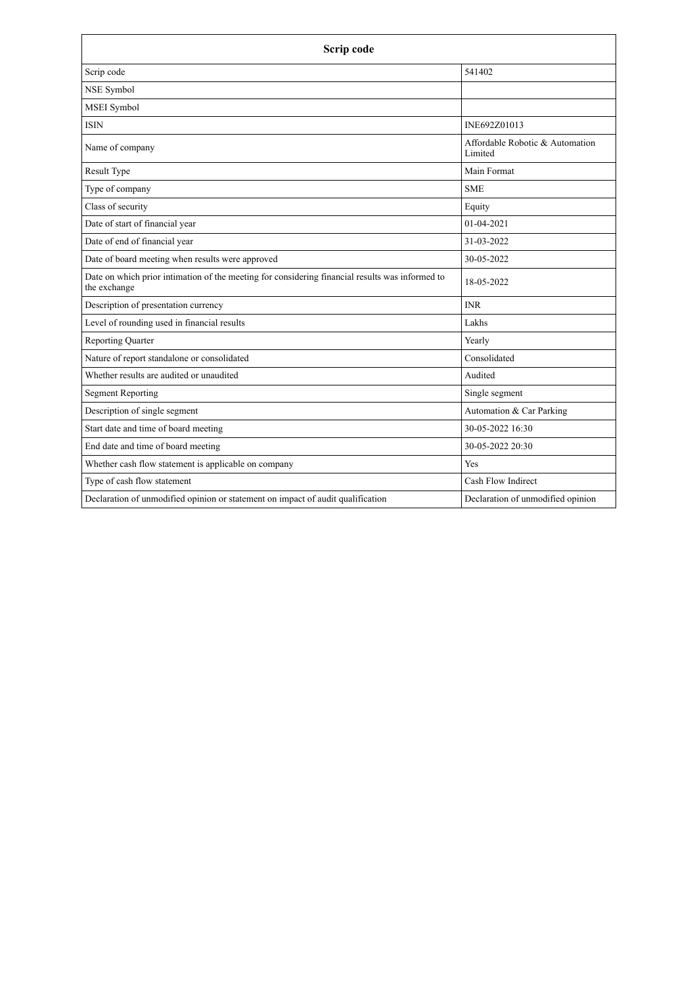| Scrip code                                                                                                      |                                            |
|-----------------------------------------------------------------------------------------------------------------|--------------------------------------------|
| Scrip code                                                                                                      | 541402                                     |
| NSE Symbol                                                                                                      |                                            |
| <b>MSEI</b> Symbol                                                                                              |                                            |
| <b>ISIN</b>                                                                                                     | INE692Z01013                               |
| Name of company                                                                                                 | Affordable Robotic & Automation<br>Limited |
| Result Type                                                                                                     | Main Format                                |
| Type of company                                                                                                 | <b>SME</b>                                 |
| Class of security                                                                                               | Equity                                     |
| Date of start of financial year                                                                                 | $01-04-2021$                               |
| Date of end of financial year                                                                                   | 31-03-2022                                 |
| Date of board meeting when results were approved                                                                | 30-05-2022                                 |
| Date on which prior intimation of the meeting for considering financial results was informed to<br>the exchange | 18-05-2022                                 |
| Description of presentation currency                                                                            | <b>INR</b>                                 |
| Level of rounding used in financial results                                                                     | Lakhs                                      |
| <b>Reporting Quarter</b>                                                                                        | Yearly                                     |
| Nature of report standalone or consolidated                                                                     | Consolidated                               |
| Whether results are audited or unaudited                                                                        | Audited                                    |
| <b>Segment Reporting</b>                                                                                        | Single segment                             |
| Description of single segment                                                                                   | Automation & Car Parking                   |
| Start date and time of board meeting                                                                            | 30-05-2022 16:30                           |
| End date and time of board meeting                                                                              | 30-05-2022 20:30                           |
| Whether cash flow statement is applicable on company                                                            | Yes                                        |
| Type of cash flow statement                                                                                     | Cash Flow Indirect                         |
| Declaration of unmodified opinion or statement on impact of audit qualification                                 | Declaration of unmodified opinion          |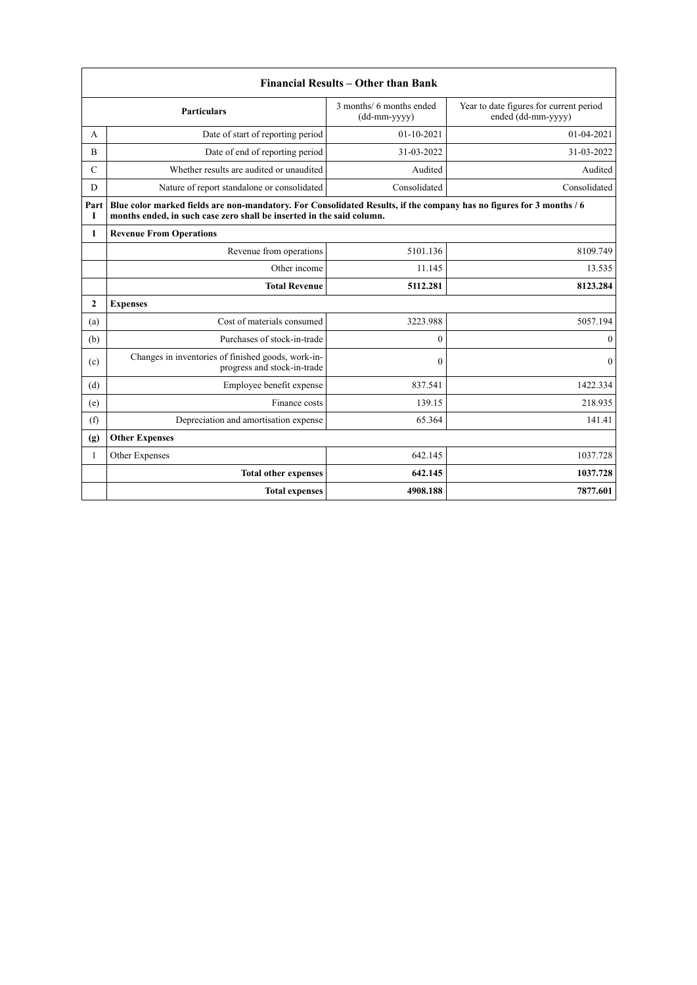|                | <b>Financial Results - Other than Bank</b>                                                                                                                                                    |                                            |                                                               |  |
|----------------|-----------------------------------------------------------------------------------------------------------------------------------------------------------------------------------------------|--------------------------------------------|---------------------------------------------------------------|--|
|                | <b>Particulars</b>                                                                                                                                                                            | 3 months/ 6 months ended<br>$(dd-mm-yyyy)$ | Year to date figures for current period<br>ended (dd-mm-yyyy) |  |
| A              | Date of start of reporting period                                                                                                                                                             | $01-10-2021$                               | $01 - 04 - 2021$                                              |  |
| $\overline{B}$ | Date of end of reporting period                                                                                                                                                               | 31-03-2022                                 | 31-03-2022                                                    |  |
| $\mathcal{C}$  | Whether results are audited or unaudited                                                                                                                                                      | Audited                                    | Audited                                                       |  |
| D              | Nature of report standalone or consolidated                                                                                                                                                   | Consolidated                               | Consolidated                                                  |  |
| Part<br>Т      | Blue color marked fields are non-mandatory. For Consolidated Results, if the company has no figures for 3 months / 6<br>months ended, in such case zero shall be inserted in the said column. |                                            |                                                               |  |
| $\mathbf{1}$   | <b>Revenue From Operations</b>                                                                                                                                                                |                                            |                                                               |  |
|                | Revenue from operations                                                                                                                                                                       | 5101.136                                   | 8109.749                                                      |  |
|                | Other income                                                                                                                                                                                  | 11.145                                     | 13.535                                                        |  |
|                | <b>Total Revenue</b>                                                                                                                                                                          | 5112.281                                   | 8123.284                                                      |  |
| $\overline{2}$ | <b>Expenses</b>                                                                                                                                                                               |                                            |                                                               |  |
| (a)            | Cost of materials consumed                                                                                                                                                                    | 3223.988                                   | 5057.194                                                      |  |
| (b)            | Purchases of stock-in-trade                                                                                                                                                                   | $\mathbf{0}$                               | $\theta$                                                      |  |
| (c)            | Changes in inventories of finished goods, work-in-<br>progress and stock-in-trade                                                                                                             | $\theta$                                   | $\theta$                                                      |  |
| (d)            | Employee benefit expense                                                                                                                                                                      | 837.541                                    | 1422.334                                                      |  |
| (e)            | Finance costs                                                                                                                                                                                 | 139.15                                     | 218.935                                                       |  |
| (f)            | Depreciation and amortisation expense                                                                                                                                                         | 65.364                                     | 141.41                                                        |  |
| (g)            | <b>Other Expenses</b>                                                                                                                                                                         |                                            |                                                               |  |
| 1              | Other Expenses                                                                                                                                                                                | 642.145                                    | 1037.728                                                      |  |
|                | <b>Total other expenses</b>                                                                                                                                                                   | 642.145                                    | 1037.728                                                      |  |
|                | <b>Total expenses</b>                                                                                                                                                                         | 4908.188                                   | 7877.601                                                      |  |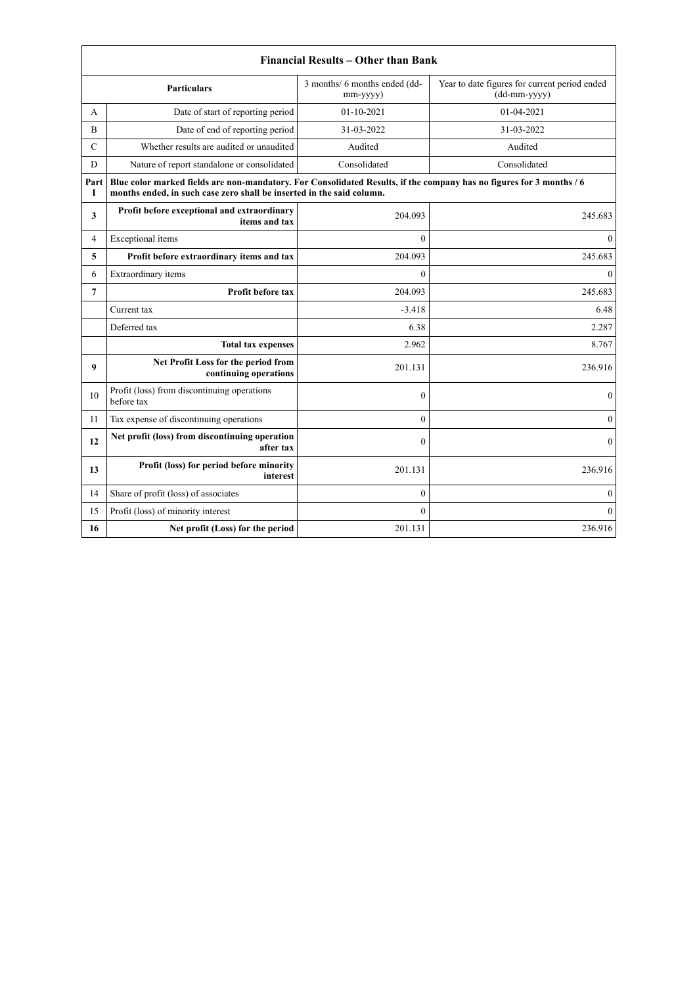| Financial Results – Other than Bank |                                                                                                                                                                                               |                                           |                                                               |
|-------------------------------------|-----------------------------------------------------------------------------------------------------------------------------------------------------------------------------------------------|-------------------------------------------|---------------------------------------------------------------|
|                                     | <b>Particulars</b>                                                                                                                                                                            | 3 months/ 6 months ended (dd-<br>mm-yyyy) | Year to date figures for current period ended<br>(dd-mm-yyyy) |
| A                                   | Date of start of reporting period                                                                                                                                                             | $01 - 10 - 2021$                          | 01-04-2021                                                    |
| B                                   | Date of end of reporting period                                                                                                                                                               | 31-03-2022                                | 31-03-2022                                                    |
| $\mathcal{C}$                       | Whether results are audited or unaudited                                                                                                                                                      | Audited                                   | Audited                                                       |
| D                                   | Nature of report standalone or consolidated                                                                                                                                                   | Consolidated                              | Consolidated                                                  |
| Part<br>L                           | Blue color marked fields are non-mandatory. For Consolidated Results, if the company has no figures for 3 months / 6<br>months ended, in such case zero shall be inserted in the said column. |                                           |                                                               |
| 3                                   | Profit before exceptional and extraordinary<br>items and tax                                                                                                                                  | 204.093                                   | 245.683                                                       |
| 4                                   | Exceptional items                                                                                                                                                                             | $\Omega$                                  | $\theta$                                                      |
| 5                                   | Profit before extraordinary items and tax                                                                                                                                                     | 204.093                                   | 245.683                                                       |
| 6                                   | Extraordinary items                                                                                                                                                                           | $\Omega$                                  | $\theta$                                                      |
| 7                                   | Profit before tax                                                                                                                                                                             | 204.093                                   | 245.683                                                       |
|                                     | Current tax                                                                                                                                                                                   | $-3.418$                                  | 6.48                                                          |
|                                     | Deferred tax                                                                                                                                                                                  | 6.38                                      | 2.287                                                         |
|                                     | <b>Total tax expenses</b>                                                                                                                                                                     | 2.962                                     | 8.767                                                         |
| 9                                   | Net Profit Loss for the period from<br>continuing operations                                                                                                                                  | 201.131                                   | 236.916                                                       |
| 10                                  | Profit (loss) from discontinuing operations<br>before tax                                                                                                                                     | $\theta$                                  | $\theta$                                                      |
| 11                                  | Tax expense of discontinuing operations                                                                                                                                                       | $\Omega$                                  | $\theta$                                                      |
| 12                                  | Net profit (loss) from discontinuing operation<br>after tax                                                                                                                                   | $\Omega$                                  | $\Omega$                                                      |
| 13                                  | Profit (loss) for period before minority<br>interest                                                                                                                                          | 201.131                                   | 236.916                                                       |
| 14                                  | Share of profit (loss) of associates                                                                                                                                                          | $\theta$                                  | $\theta$                                                      |
| 15                                  | Profit (loss) of minority interest                                                                                                                                                            | $\theta$                                  | $\theta$                                                      |
| 16                                  | Net profit (Loss) for the period                                                                                                                                                              | 201.131                                   | 236.916                                                       |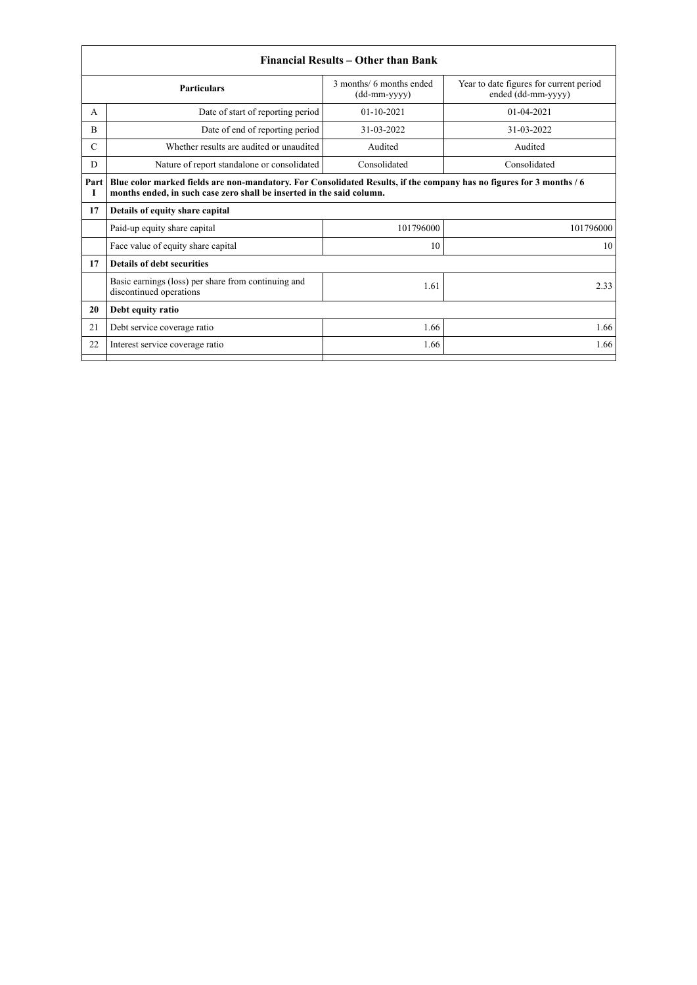|               |                                                                                                                                                                                               | Financial Results – Other than Bank        |                                                               |
|---------------|-----------------------------------------------------------------------------------------------------------------------------------------------------------------------------------------------|--------------------------------------------|---------------------------------------------------------------|
|               | <b>Particulars</b>                                                                                                                                                                            | 3 months/ 6 months ended<br>$(dd-mm-yyyy)$ | Year to date figures for current period<br>ended (dd-mm-yyyy) |
| A             | Date of start of reporting period                                                                                                                                                             | $01 - 10 - 2021$                           | $01-04-2021$                                                  |
| B             | Date of end of reporting period                                                                                                                                                               | 31-03-2022                                 | 31-03-2022                                                    |
| $\mathcal{C}$ | Whether results are audited or unaudited                                                                                                                                                      | Audited                                    | Audited                                                       |
| D             | Nature of report standalone or consolidated                                                                                                                                                   | Consolidated                               | Consolidated                                                  |
| Part<br>1     | Blue color marked fields are non-mandatory. For Consolidated Results, if the company has no figures for 3 months / 6<br>months ended, in such case zero shall be inserted in the said column. |                                            |                                                               |
| 17            | Details of equity share capital                                                                                                                                                               |                                            |                                                               |
|               | Paid-up equity share capital                                                                                                                                                                  | 101796000                                  | 101796000                                                     |
|               | Face value of equity share capital                                                                                                                                                            | 10                                         | 10                                                            |
| 17            | <b>Details of debt securities</b>                                                                                                                                                             |                                            |                                                               |
|               | Basic earnings (loss) per share from continuing and<br>discontinued operations                                                                                                                | 1.61                                       | 2.33                                                          |
| 20            | Debt equity ratio                                                                                                                                                                             |                                            |                                                               |
| 21            | Debt service coverage ratio                                                                                                                                                                   | 1.66                                       | 1.66                                                          |
| 22            | Interest service coverage ratio                                                                                                                                                               | 1.66                                       | 1.66                                                          |
|               |                                                                                                                                                                                               |                                            |                                                               |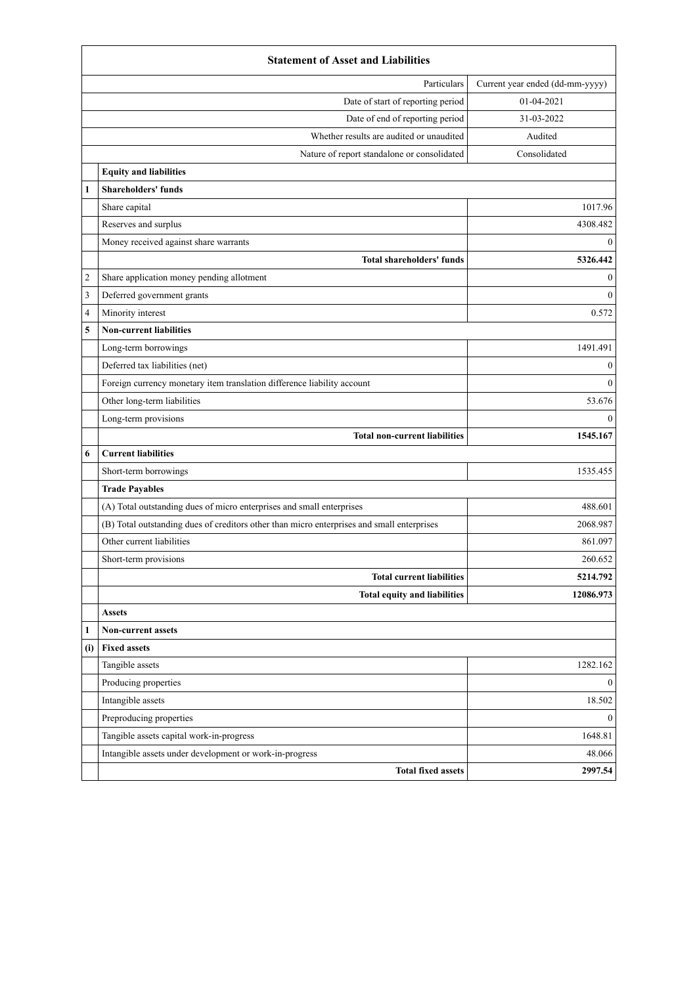|              | <b>Statement of Asset and Liabilities</b>                                                  |                                 |
|--------------|--------------------------------------------------------------------------------------------|---------------------------------|
|              | Particulars                                                                                | Current year ended (dd-mm-yyyy) |
|              | Date of start of reporting period                                                          | 01-04-2021                      |
|              | Date of end of reporting period                                                            | 31-03-2022                      |
|              | Whether results are audited or unaudited                                                   | Audited                         |
|              | Nature of report standalone or consolidated                                                | Consolidated                    |
|              | <b>Equity and liabilities</b>                                                              |                                 |
| $\mathbf{1}$ | <b>Shareholders' funds</b>                                                                 |                                 |
|              | Share capital                                                                              | 1017.96                         |
|              | Reserves and surplus                                                                       | 4308.482                        |
|              | Money received against share warrants                                                      | $\boldsymbol{0}$                |
|              | <b>Total shareholders' funds</b>                                                           | 5326.442                        |
| 2            | Share application money pending allotment                                                  | $\mathbf{0}$                    |
| 3            | Deferred government grants                                                                 | $\mathbf{0}$                    |
| 4            | Minority interest                                                                          | 0.572                           |
| 5            | <b>Non-current liabilities</b>                                                             |                                 |
|              | Long-term borrowings                                                                       | 1491.491                        |
|              | Deferred tax liabilities (net)                                                             | $\bf{0}$                        |
|              | Foreign currency monetary item translation difference liability account                    | $\mathbf{0}$                    |
|              | Other long-term liabilities                                                                | 53.676                          |
|              | Long-term provisions                                                                       | $\theta$                        |
|              | <b>Total non-current liabilities</b>                                                       | 1545.167                        |
| 6            | <b>Current liabilities</b>                                                                 |                                 |
|              | Short-term borrowings                                                                      | 1535.455                        |
|              | <b>Trade Payables</b>                                                                      |                                 |
|              | (A) Total outstanding dues of micro enterprises and small enterprises                      | 488.601                         |
|              | (B) Total outstanding dues of creditors other than micro enterprises and small enterprises | 2068.987                        |
|              | Other current liabilities                                                                  | 861.097                         |
|              | Short-term provisions                                                                      | 260.652                         |
|              | <b>Total current liabilities</b>                                                           | 5214.792                        |
|              | <b>Total equity and liabilities</b>                                                        | 12086.973                       |
|              | <b>Assets</b>                                                                              |                                 |
| 1            | <b>Non-current assets</b>                                                                  |                                 |
| (i)          | <b>Fixed assets</b>                                                                        |                                 |
|              | Tangible assets                                                                            | 1282.162                        |
|              | Producing properties                                                                       | $\mathbf{0}$                    |
|              | Intangible assets                                                                          | 18.502                          |
|              | Preproducing properties                                                                    | $\boldsymbol{0}$                |
|              | Tangible assets capital work-in-progress                                                   | 1648.81                         |
|              | Intangible assets under development or work-in-progress                                    | 48.066                          |
|              | <b>Total fixed assets</b>                                                                  | 2997.54                         |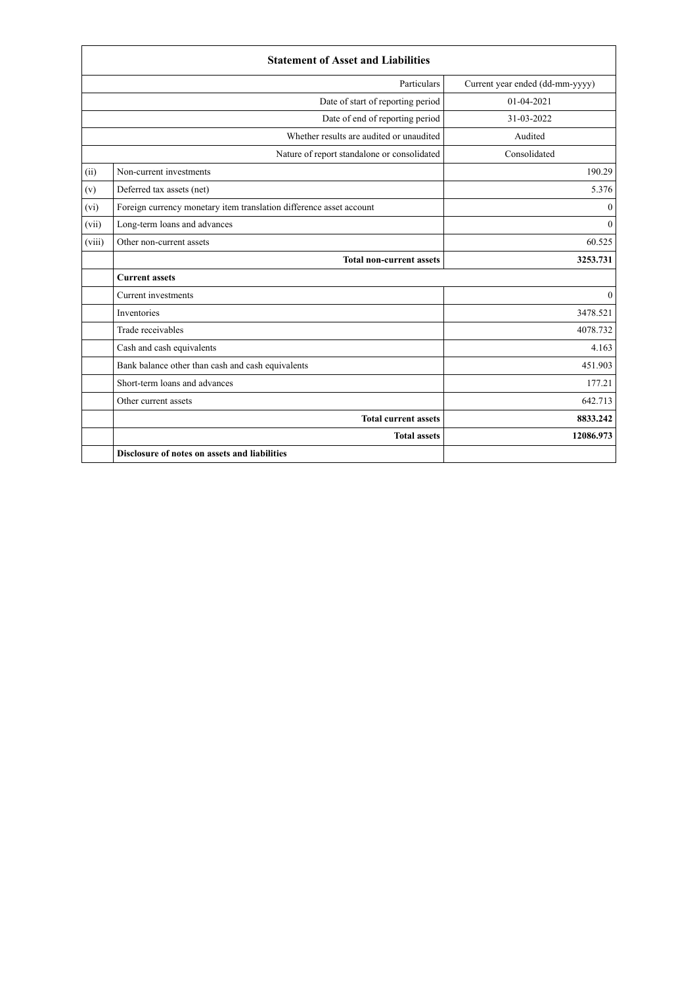|        | <b>Statement of Asset and Liabilities</b>                           |                                 |
|--------|---------------------------------------------------------------------|---------------------------------|
|        | Particulars                                                         | Current year ended (dd-mm-yyyy) |
|        | Date of start of reporting period                                   | $01-04-2021$                    |
|        | Date of end of reporting period                                     | 31-03-2022                      |
|        | Whether results are audited or unaudited                            | Audited                         |
|        | Nature of report standalone or consolidated                         | Consolidated                    |
| (ii)   | Non-current investments                                             | 190.29                          |
| (v)    | Deferred tax assets (net)                                           | 5.376                           |
| (vi)   | Foreign currency monetary item translation difference asset account | $\mathbf{0}$                    |
| (vii)  | Long-term loans and advances                                        | $\theta$                        |
| (viii) | Other non-current assets                                            | 60.525                          |
|        | <b>Total non-current assets</b>                                     | 3253.731                        |
|        | <b>Current assets</b>                                               |                                 |
|        | Current investments                                                 | $\Omega$                        |
|        | Inventories                                                         | 3478.521                        |
|        | Trade receivables                                                   | 4078.732                        |
|        | Cash and cash equivalents                                           | 4.163                           |
|        | Bank balance other than cash and cash equivalents                   | 451.903                         |
|        | Short-term loans and advances                                       | 177.21                          |
|        | Other current assets                                                | 642.713                         |
|        | <b>Total current assets</b>                                         | 8833.242                        |
|        | <b>Total assets</b>                                                 | 12086.973                       |
|        | Disclosure of notes on assets and liabilities                       |                                 |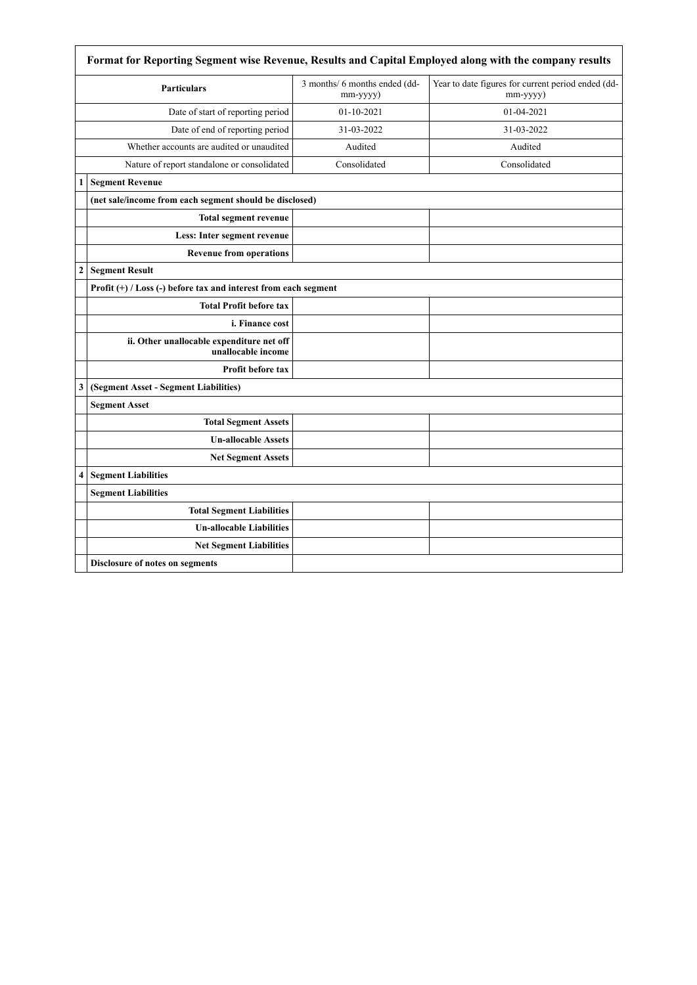|                  | Format for Reporting Segment wise Revenue, Results and Capital Employed along with the company results |                                           |                                                                |  |
|------------------|--------------------------------------------------------------------------------------------------------|-------------------------------------------|----------------------------------------------------------------|--|
|                  | <b>Particulars</b>                                                                                     | 3 months/ 6 months ended (dd-<br>mm-yyyy) | Year to date figures for current period ended (dd-<br>mm-yyyy) |  |
|                  | Date of start of reporting period                                                                      | $01-10-2021$                              | 01-04-2021                                                     |  |
|                  | Date of end of reporting period                                                                        | 31-03-2022                                | 31-03-2022                                                     |  |
|                  | Whether accounts are audited or unaudited                                                              | Audited                                   | Audited                                                        |  |
|                  | Nature of report standalone or consolidated                                                            | Consolidated                              | Consolidated                                                   |  |
| 1                | <b>Segment Revenue</b>                                                                                 |                                           |                                                                |  |
|                  | (net sale/income from each segment should be disclosed)                                                |                                           |                                                                |  |
|                  | <b>Total segment revenue</b>                                                                           |                                           |                                                                |  |
|                  | Less: Inter segment revenue                                                                            |                                           |                                                                |  |
|                  | <b>Revenue from operations</b>                                                                         |                                           |                                                                |  |
| $\boldsymbol{2}$ | <b>Segment Result</b>                                                                                  |                                           |                                                                |  |
|                  | Profit (+) / Loss (-) before tax and interest from each segment                                        |                                           |                                                                |  |
|                  | <b>Total Profit before tax</b>                                                                         |                                           |                                                                |  |
|                  | i. Finance cost                                                                                        |                                           |                                                                |  |
|                  | ii. Other unallocable expenditure net off<br>unallocable income                                        |                                           |                                                                |  |
|                  | <b>Profit before tax</b>                                                                               |                                           |                                                                |  |
| 3                | (Segment Asset - Segment Liabilities)                                                                  |                                           |                                                                |  |
|                  | <b>Segment Asset</b>                                                                                   |                                           |                                                                |  |
|                  | <b>Total Segment Assets</b>                                                                            |                                           |                                                                |  |
|                  | <b>Un-allocable Assets</b>                                                                             |                                           |                                                                |  |
|                  | <b>Net Segment Assets</b>                                                                              |                                           |                                                                |  |
| $\overline{4}$   | <b>Segment Liabilities</b>                                                                             |                                           |                                                                |  |
|                  | <b>Segment Liabilities</b>                                                                             |                                           |                                                                |  |
|                  | <b>Total Segment Liabilities</b>                                                                       |                                           |                                                                |  |
|                  | <b>Un-allocable Liabilities</b>                                                                        |                                           |                                                                |  |
|                  | <b>Net Segment Liabilities</b>                                                                         |                                           |                                                                |  |
|                  | Disclosure of notes on segments                                                                        |                                           |                                                                |  |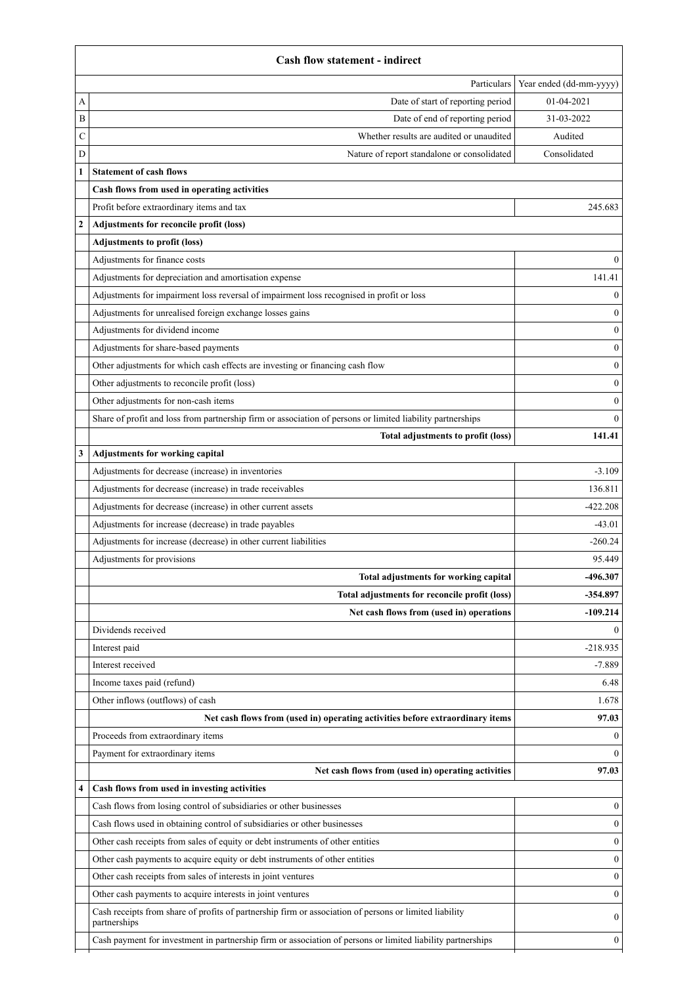|              | <b>Cash flow statement - indirect</b>                                                                                                                                                                                                 |                         |
|--------------|---------------------------------------------------------------------------------------------------------------------------------------------------------------------------------------------------------------------------------------|-------------------------|
|              | Particulars                                                                                                                                                                                                                           | Year ended (dd-mm-yyyy) |
| А            | Date of start of reporting period                                                                                                                                                                                                     | $01 - 04 - 2021$        |
| B            | Date of end of reporting period                                                                                                                                                                                                       | 31-03-2022              |
| C            | Whether results are audited or unaudited                                                                                                                                                                                              | Audited                 |
| D            | Nature of report standalone or consolidated                                                                                                                                                                                           | Consolidated            |
|              | <b>Statement of cash flows</b>                                                                                                                                                                                                        |                         |
|              | Cash flows from used in operating activities                                                                                                                                                                                          |                         |
|              | Profit before extraordinary items and tax                                                                                                                                                                                             | 245.683                 |
| $\mathbf{2}$ | Adjustments for reconcile profit (loss)                                                                                                                                                                                               |                         |
|              | <b>Adjustments to profit (loss)</b>                                                                                                                                                                                                   |                         |
|              | Adjustments for finance costs                                                                                                                                                                                                         | $\theta$                |
|              | Adjustments for depreciation and amortisation expense                                                                                                                                                                                 | 141.41                  |
|              | Adjustments for impairment loss reversal of impairment loss recognised in profit or loss                                                                                                                                              | $\mathbf{0}$            |
|              | Adjustments for unrealised foreign exchange losses gains                                                                                                                                                                              | 0                       |
|              | Adjustments for dividend income                                                                                                                                                                                                       | $\theta$                |
|              | Adjustments for share-based payments                                                                                                                                                                                                  | 0                       |
|              | Other adjustments for which cash effects are investing or financing cash flow                                                                                                                                                         | $\theta$                |
|              | Other adjustments to reconcile profit (loss)                                                                                                                                                                                          | 0                       |
|              | Other adjustments for non-cash items                                                                                                                                                                                                  | 0                       |
|              | Share of profit and loss from partnership firm or association of persons or limited liability partnerships                                                                                                                            | $\theta$                |
|              | Total adjustments to profit (loss)                                                                                                                                                                                                    | 141.41                  |
| 3            | Adjustments for working capital                                                                                                                                                                                                       |                         |
|              | Adjustments for decrease (increase) in inventories                                                                                                                                                                                    | $-3.109$                |
|              | Adjustments for decrease (increase) in trade receivables                                                                                                                                                                              | 136.811                 |
|              | Adjustments for decrease (increase) in other current assets                                                                                                                                                                           | $-422.208$              |
|              | Adjustments for increase (decrease) in trade payables                                                                                                                                                                                 | $-43.01$                |
|              | Adjustments for increase (decrease) in other current liabilities                                                                                                                                                                      | $-260.24$               |
|              | Adjustments for provisions                                                                                                                                                                                                            | 95.449                  |
|              | Total adjustments for working capital                                                                                                                                                                                                 | -496.307                |
|              | Total adjustments for reconcile profit (loss)                                                                                                                                                                                         | -354.897                |
|              | Net cash flows from (used in) operations                                                                                                                                                                                              | $-109.214$              |
|              | Dividends received                                                                                                                                                                                                                    | 0                       |
|              | Interest paid                                                                                                                                                                                                                         | $-218.935$              |
|              | Interest received                                                                                                                                                                                                                     | $-7.889$                |
|              | Income taxes paid (refund)                                                                                                                                                                                                            | 6.48                    |
|              | Other inflows (outflows) of cash                                                                                                                                                                                                      | 1.678                   |
|              | Net cash flows from (used in) operating activities before extraordinary items                                                                                                                                                         | 97.03                   |
|              | Proceeds from extraordinary items                                                                                                                                                                                                     | 0                       |
|              | Payment for extraordinary items                                                                                                                                                                                                       | 0                       |
|              | Net cash flows from (used in) operating activities                                                                                                                                                                                    | 97.03                   |
| 4            | Cash flows from used in investing activities                                                                                                                                                                                          |                         |
|              | Cash flows from losing control of subsidiaries or other businesses                                                                                                                                                                    | $\boldsymbol{0}$        |
|              | Cash flows used in obtaining control of subsidiaries or other businesses                                                                                                                                                              | 0                       |
|              | Other cash receipts from sales of equity or debt instruments of other entities                                                                                                                                                        | $\theta$                |
|              | Other cash payments to acquire equity or debt instruments of other entities                                                                                                                                                           | 0                       |
|              |                                                                                                                                                                                                                                       |                         |
|              |                                                                                                                                                                                                                                       | 0                       |
|              | Other cash receipts from sales of interests in joint ventures                                                                                                                                                                         |                         |
|              | Other cash payments to acquire interests in joint ventures                                                                                                                                                                            | 0                       |
|              | Cash receipts from share of profits of partnership firm or association of persons or limited liability<br>partnerships<br>Cash payment for investment in partnership firm or association of persons or limited liability partnerships | 0<br>$\theta$           |